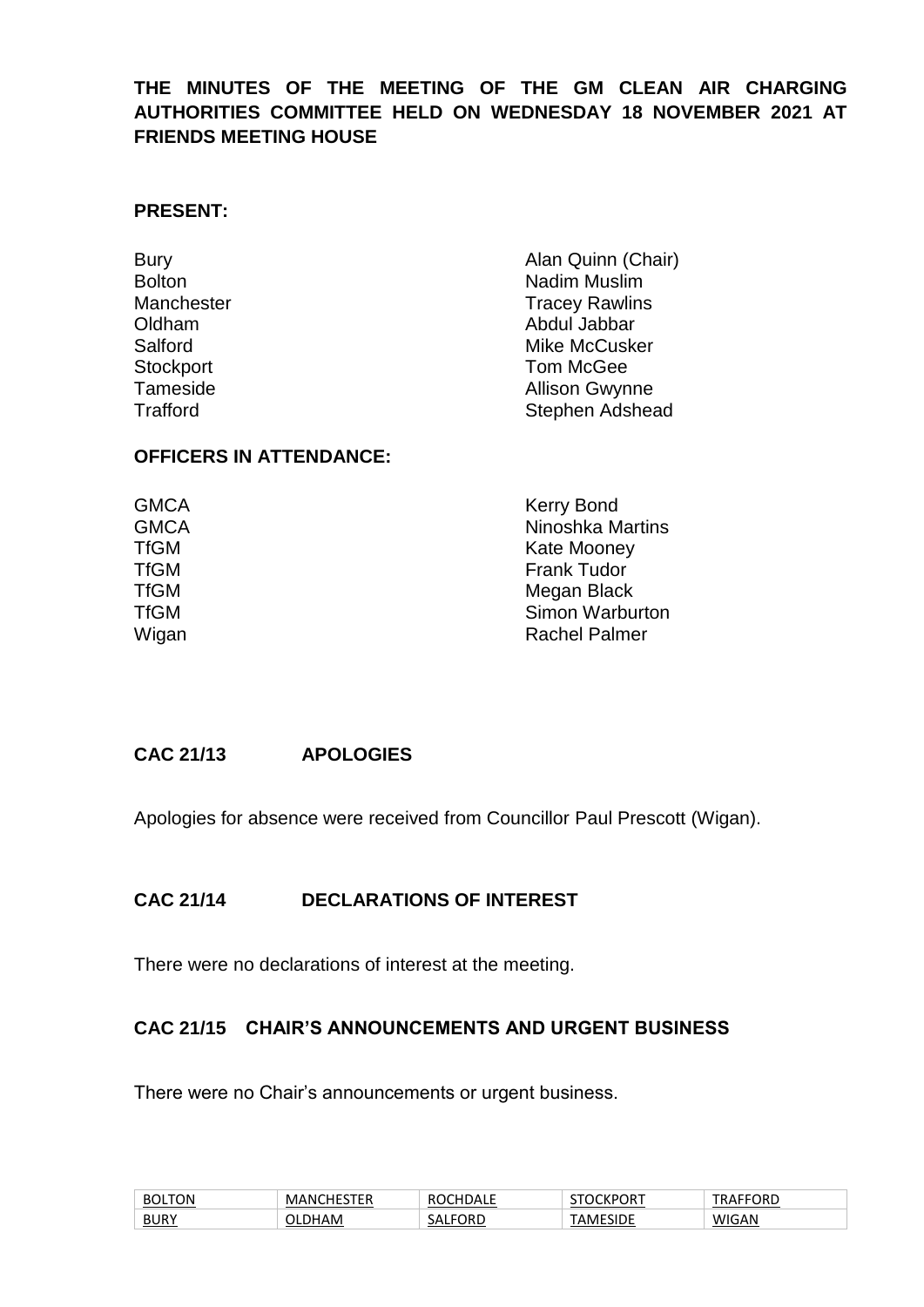## **THE MINUTES OF THE MEETING OF THE GM CLEAN AIR CHARGING AUTHORITIES COMMITTEE HELD ON WEDNESDAY 18 NOVEMBER 2021 AT FRIENDS MEETING HOUSE**

#### **PRESENT:**

| <b>Bury</b>      | Alan Quinn (Chair)     |  |  |
|------------------|------------------------|--|--|
| <b>Bolton</b>    | Nadim Muslim           |  |  |
| Manchester       | <b>Tracey Rawlins</b>  |  |  |
| Oldham           | Abdul Jabbar           |  |  |
| Salford          | Mike McCusker          |  |  |
| <b>Stockport</b> | Tom McGee              |  |  |
| Tameside         | <b>Allison Gwynne</b>  |  |  |
| <b>Trafford</b>  | <b>Stephen Adshead</b> |  |  |

#### **OFFICERS IN ATTENDANCE:**

| <b>GMCA</b> | <b>Kerry Bond</b>    |  |  |
|-------------|----------------------|--|--|
| <b>GMCA</b> | Ninoshka Martins     |  |  |
| TfGM        | <b>Kate Mooney</b>   |  |  |
| TfGM        | <b>Frank Tudor</b>   |  |  |
| <b>TfGM</b> | Megan Black          |  |  |
| <b>TfGM</b> | Simon Warburton      |  |  |
| Wigan       | <b>Rachel Palmer</b> |  |  |
|             |                      |  |  |

#### **CAC 21/13 APOLOGIES**

Apologies for absence were received from Councillor Paul Prescott (Wigan).

#### **CAC 21/14 DECLARATIONS OF INTEREST**

There were no declarations of interest at the meeting.

#### **CAC 21/15 CHAIR'S ANNOUNCEMENTS AND URGENT BUSINESS**

There were no Chair's announcements or urgent business.

| τον<br>BC   | .<br>. INI<br>M<br>. .<br>. .<br>. | ┐∟∟                      | 'ОК.  | ™ORD<br>⊶ د .<br>. ne |
|-------------|------------------------------------|--------------------------|-------|-----------------------|
| <b>BURY</b> | AM                                 | ORD<br>۰ΔΙ<br>-52<br>. . | <br>◡ | <b>/IGAN</b><br>۱۸.   |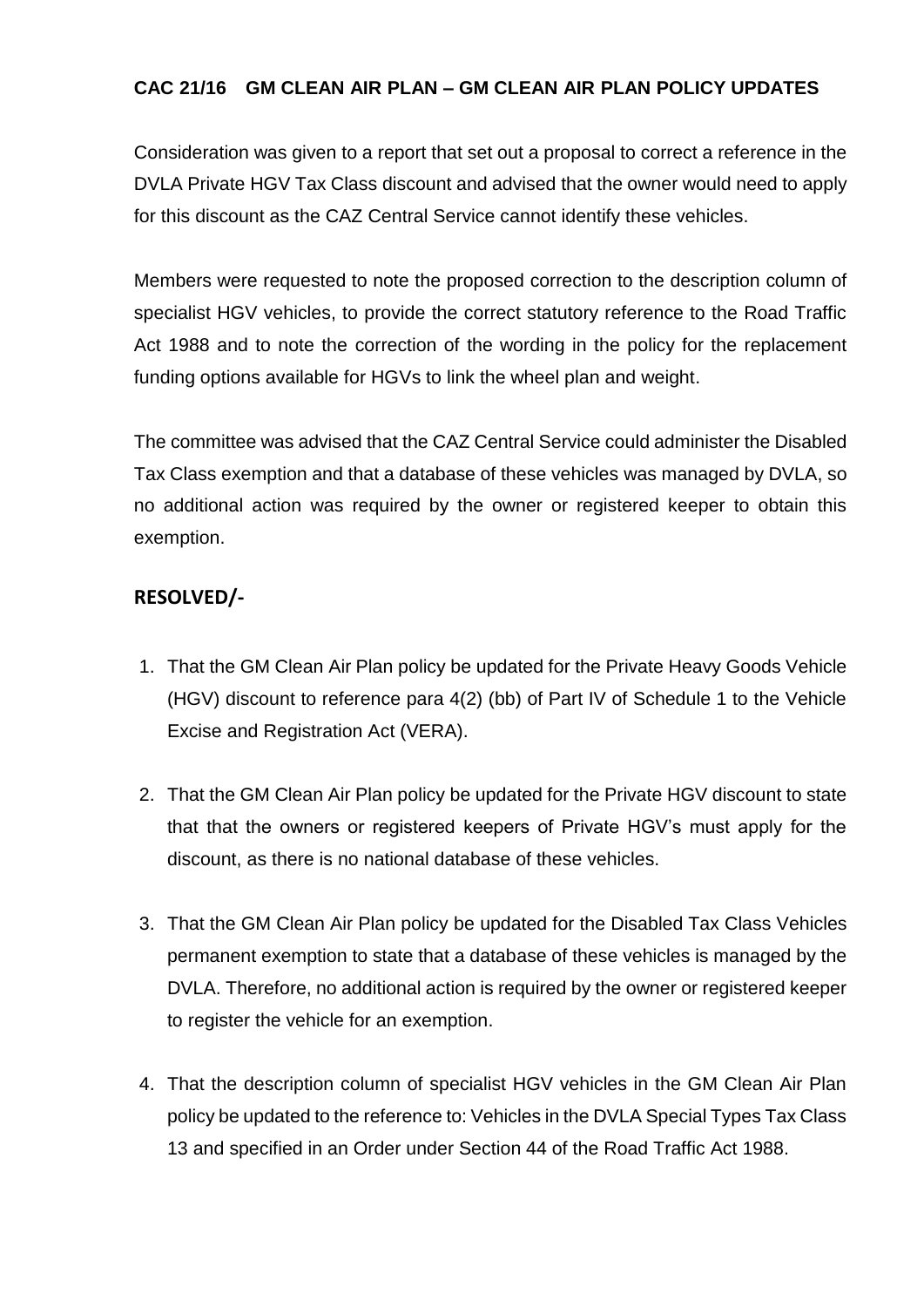## **CAC 21/16 GM CLEAN AIR PLAN – GM CLEAN AIR PLAN POLICY UPDATES**

Consideration was given to a report that set out a proposal to correct a reference in the DVLA Private HGV Tax Class discount and advised that the owner would need to apply for this discount as the CAZ Central Service cannot identify these vehicles.

Members were requested to note the proposed correction to the description column of specialist HGV vehicles, to provide the correct statutory reference to the Road Traffic Act 1988 and to note the correction of the wording in the policy for the replacement funding options available for HGVs to link the wheel plan and weight.

The committee was advised that the CAZ Central Service could administer the Disabled Tax Class exemption and that a database of these vehicles was managed by DVLA, so no additional action was required by the owner or registered keeper to obtain this exemption.

## **RESOLVED/-**

- 1. That the GM Clean Air Plan policy be updated for the Private Heavy Goods Vehicle (HGV) discount to reference para 4(2) (bb) of Part IV of Schedule 1 to the Vehicle Excise and Registration Act (VERA).
- 2. That the GM Clean Air Plan policy be updated for the Private HGV discount to state that that the owners or registered keepers of Private HGV's must apply for the discount, as there is no national database of these vehicles.
- 3. That the GM Clean Air Plan policy be updated for the Disabled Tax Class Vehicles permanent exemption to state that a database of these vehicles is managed by the DVLA. Therefore, no additional action is required by the owner or registered keeper to register the vehicle for an exemption.
- 4. That the description column of specialist HGV vehicles in the GM Clean Air Plan policy be updated to the reference to: Vehicles in the DVLA Special Types Tax Class 13 and specified in an Order under Section 44 of the Road Traffic Act 1988.